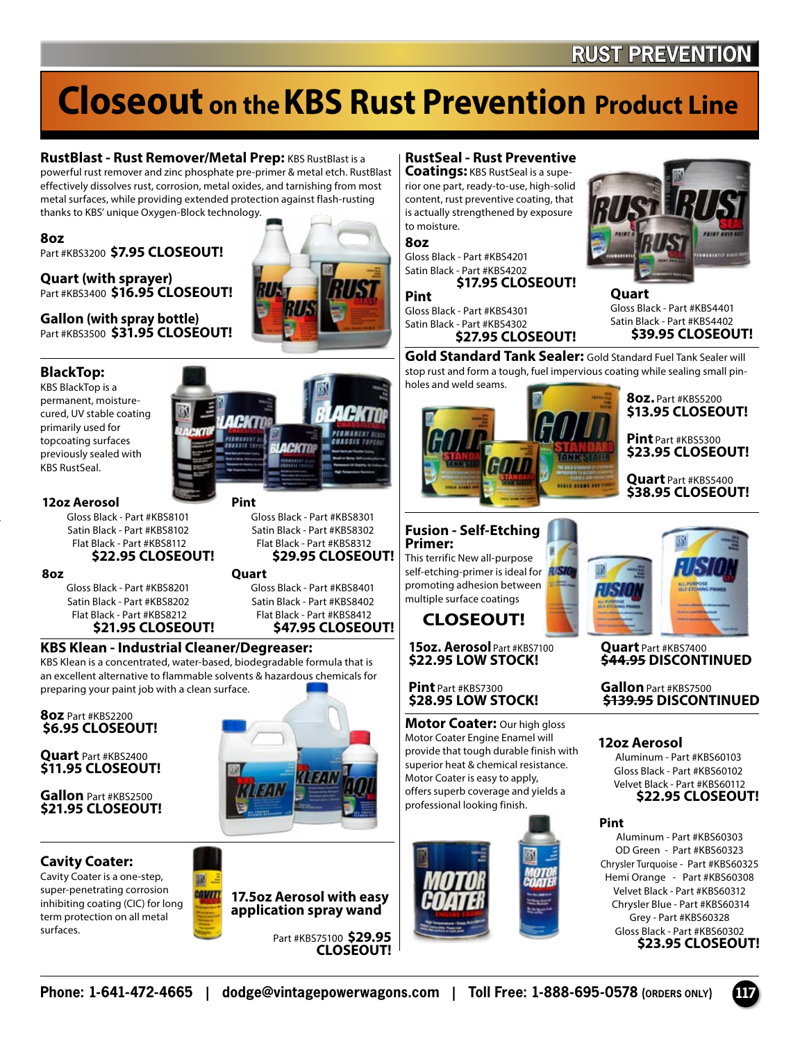# **Closeout on theKBS Rust Prevention Product Line**

**RustBlast - Rust Remover/Metal Prep: KBS RustBlast is a** powerful rust remover and zinc phosphate pre-primer & metal etch. RustBlast effectively dissolves rust, corrosion, metal oxides, and tarnishing from most metal surfaces, while providing extended protection against flash-rusting thanks to KBS' unique Oxygen-Block technology.

#### **8oz**

Part #KBS3200 **\$7.95 CLOSEOUT!**

**Quart (with sprayer)** Part #KBS3400 **\$16.95 CLOSEOUT!**

**Gallon (with spray bottle)** Part #KBS3500 **\$31.95 CLOSEOUT!**

#### **BlackTop:**

KBS BlackTop is a permanent, moisturecured, UV stable coating primarily used for topcoating surfaces previously sealed with KBS RustSeal.

#### **12oz Aerosol**

Gloss Black - Part #KBS8101 Satin Black - Part #KBS8102 Flat Black - Part #KBS8112 **\$22.95 CLOSEOUT!**

**8oz**

Gloss Black - Part #KBS8201 Satin Black - Part #KBS8202 Flat Black - Part #KBS8212 **\$21.95 CLOSEOUT!**

#### Gloss Black - Part #KBS8401 Satin Black - Part #KBS8402 Flat Black - Part #KBS8412

**Pint**

**Quart**

Gloss Black - Part #KBS8301 Satin Black - Part #KBS8302 Flat Black - Part #KBS8312 **\$29.95 CLOSEOUT!**

**LACKTOP** 

**\$47.95 CLOSEOUT!**

#### **KBS Klean - Industrial Cleaner/Degreaser:**

KBS Klean is a concentrated, water-based, biodegradable formula that is an excellent alternative to flammable solvents & hazardous chemicals for preparing your paint job with a clean surface.

**8oz** Part #KBS2200 **\$6.95 CLOSEOUT!**

**Quart** Part #KBS2400 **\$11.95 CLOSEOUT!**

**Gallon** Part #KBS2500 **\$21.95 CLOSEOUT!**

#### **Cavity Coater:**

Cavity Coater is a one-step, super-penetrating corrosion inhibiting coating (CIC) for long term protection on all metal surfaces.



wan

Part #KBS75100 **\$29.95 CLOSEOUT!**

#### **RustSeal - Rust Preventive**

**Coatings:** KBS RustSeal is a superior one part, ready-to-use, high-solid content, rust preventive coating, that is actually strengthened by exposure to moisture.

**8oz**

Gloss Black - Part #KBS4201 Satin Black - Part #KBS4202 **\$17.95 CLOSEOUT!**

**Pint** Gloss Black - Part #KBS4301

Satin Black - Part #KBS4302 **\$27.95 CLOSEOUT!**

**Fusion - Self-Etching** 

This terrific New all-purpose self-etching-primer is ideal for **ASIC** promoting adhesion between multiple surface coatings **CLOSEOUT!**

**15oz. Aerosol** Part #KBS7100 **\$22.95 LOW STOCK!**

**Motor Coater:** Our high gloss Motor Coater Engine Enamel will provide that tough durable finish with superior heat & chemical resistance. Motor Coater is easy to apply, offers superb coverage and yields a professional looking finish.

**Pint** Part #KBS7300 **\$28.95 LOW STOCK!**

**Primer:**

**Gold Standard Tank Sealer:** Gold Standard Fuel Tank Sealer will stop rust and form a tough, fuel impervious coating while sealing small pinholes and weld seams.

**Quart**





Gloss Black - Part #KBS4401 Satin Black - Part #KBS4402  **\$39.95 CLOSEOUT!**

> **Pint** Part #KBS5300 **\$23.95 CLOSEOUT!**

> **Quart** Part #KBS5400 **\$38.95 CLOSEOUT!**

**Quart** Part #KBS7400 **\$44.95 DISCONTINUED**

**Gallon**Part #KBS7500 **\$139.95 DISCONTINUED**

#### **12oz Aerosol**

Aluminum - Part #KBS60103 Gloss Black - Part #KBS60102 Velvet Black - Part #KBS60112 **\$22.95 CLOSEOUT!**

#### **Pint**

Aluminum - Part #KBS60303 OD Green - Part #KBS60323 Chrysler Turquoise - Part #KBS60325 Hemi Orange - Part #KBS60308 Velvet Black - Part #KBS60312 Chrysler Blue - Part #KBS60314 Grey - Part #KBS60328 Gloss Black - Part #KBS60302 **\$23.95 CLOSEOUT!**